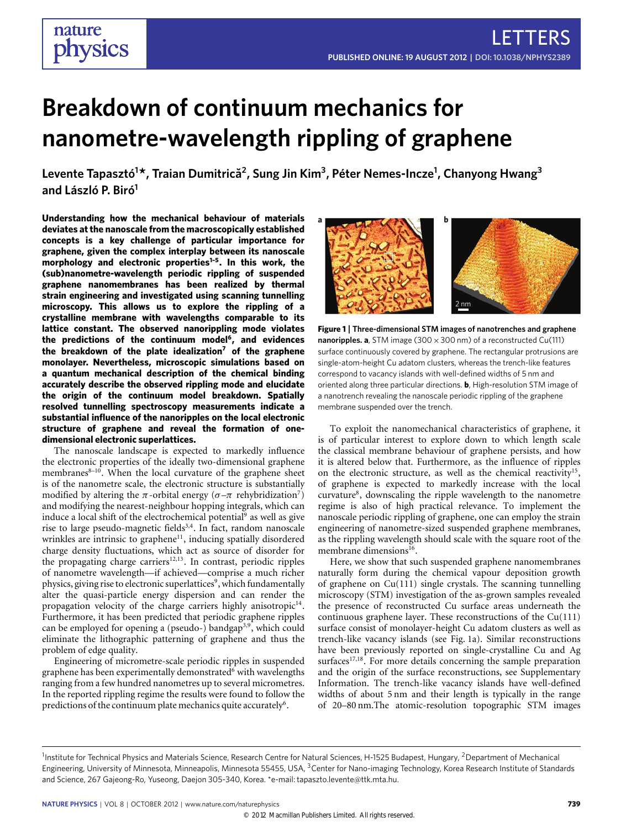# **Breakdown of continuum mechanics for nanometre-wavelength rippling of graphene**

**Levente Tapasztó<sup>1</sup> \*, Traian Dumitrica˘ 2 , Sung Jin Kim<sup>3</sup> , Péter Nemes-Incze<sup>1</sup> , Chanyong Hwang<sup>3</sup> and László P. Biró<sup>1</sup>**

**Understanding how the mechanical behaviour of materials deviates at the nanoscale from the macroscopically established concepts is a key challenge of particular importance for graphene, given the complex interplay between its nanoscale morphology and electronic properties[1](#page-3-0)[–5](#page-3-1). In this work, the (sub)nanometre-wavelength periodic rippling of suspended graphene nanomembranes has been realized by thermal strain engineering and investigated using scanning tunnelling microscopy. This allows us to explore the rippling of a crystalline membrane with wavelengths comparable to its lattice constant. The observed nanorippling mode violates the predictions of the continuum model[6](#page-3-2) , and evidences the breakdown of the plate idealization[7](#page-3-3) of the graphene monolayer. Nevertheless, microscopic simulations based on a quantum mechanical description of the chemical binding accurately describe the observed rippling mode and elucidate the origin of the continuum model breakdown. Spatially resolved tunnelling spectroscopy measurements indicate a substantial influence of the nanoripples on the local electronic structure of graphene and reveal the formation of onedimensional electronic superlattices.**

The nanoscale landscape is expected to markedly influence the electronic properties of the ideally two-dimensional graphene membranes<sup>[8](#page-3-4)-10</sup>. When the local curvature of the graphene sheet is of the nanometre scale, the electronic structure is substantially modified by altering the  $\pi$ -orbital energy ( $\sigma$ - $\pi$  rehybridization<sup>[7](#page-3-3)</sup>) and modifying the nearest-neighbour hopping integrals, which can induce a local shift of the electrochemical potential<sup>[9](#page-3-6)</sup> as well as give rise to large pseudo-magnetic fields<sup>[3,](#page-3-7)[4](#page-3-8)</sup>. In fact, random nanoscale wrinkles are intrinsic to graphene<sup>[11](#page-3-9)</sup>, inducing spatially disordered charge density fluctuations, which act as source of disorder for the propagating charge carriers $12,13$  $12,13$ . In contrast, periodic ripples of nanometre wavelength—if achieved—comprise a much richer physics, giving rise to electronic superlattices<sup>[9](#page-3-6)</sup>, which fundamentally alter the quasi-particle energy dispersion and can render the propagation velocity of the charge carriers highly anisotropic<sup>[14](#page-3-12)</sup>. Furthermore, it has been predicted that periodic graphene ripples can be employed for opening a (pseudo-) bandgap<sup>[3,](#page-3-7)[9](#page-3-6)</sup>, which could eliminate the lithographic patterning of graphene and thus the problem of edge quality.

Engineering of micrometre-scale periodic ripples in suspended graphene has been experimentally demonstrated<sup>[6](#page-3-2)</sup> with wavelengths ranging from a few hundred nanometres up to several micrometres. In the reported rippling regime the results were found to follow the predictions of the continuum plate mechanics quite accurately<sup>[6](#page-3-2)</sup>.



<span id="page-0-0"></span>**Figure 1** | **Three-dimensional STM images of nanotrenches and graphene nanoripples. a**, STM image (300 × 300 nm) of a reconstructed Cu(111) surface continuously covered by graphene. The rectangular protrusions are single-atom-height Cu adatom clusters, whereas the trench-like features correspond to vacancy islands with well-defined widths of 5 nm and oriented along three particular directions. **b**, High-resolution STM image of a nanotrench revealing the nanoscale periodic rippling of the graphene membrane suspended over the trench.

To exploit the nanomechanical characteristics of graphene, it is of particular interest to explore down to which length scale the classical membrane behaviour of graphene persists, and how it is altered below that. Furthermore, as the influence of ripples on the electronic structure, as well as the chemical reactivity<sup>[15](#page-3-13)</sup>, of graphene is expected to markedly increase with the local curvature<sup>[8](#page-3-4)</sup>, downscaling the ripple wavelength to the nanometre regime is also of high practical relevance. To implement the nanoscale periodic rippling of graphene, one can employ the strain engineering of nanometre-sized suspended graphene membranes, as the rippling wavelength should scale with the square root of the membrane dimensions<sup>[16](#page-3-14)</sup>.

Here, we show that such suspended graphene nanomembranes naturally form during the chemical vapour deposition growth of graphene on Cu(111) single crystals. The scanning tunnelling microscopy (STM) investigation of the as-grown samples revealed the presence of reconstructed Cu surface areas underneath the continuous graphene layer. These reconstructions of the Cu(111) surface consist of monolayer-height Cu adatom clusters as well as trench-like vacancy islands (see [Fig. 1a](#page-0-0)). Similar reconstructions have been previously reported on single-crystalline Cu and Ag surfaces<sup>[17,](#page-3-15)[18](#page-3-16)</sup>. For more details concerning the sample preparation and the origin of the surface reconstructions, see Supplementary Information. The trench-like vacancy islands have well-defined widths of about 5 nm and their length is typically in the range of 20–80 nm.The atomic-resolution topographic STM images

<sup>&</sup>lt;sup>1</sup>Institute for Technical Physics and Materials Science, Research Centre for Natural Sciences, H-1525 Budapest, Hungary, <sup>2</sup>Department of Mechanical Engineering, University of Minnesota, Minneapolis, Minnesota 55455, USA, <sup>3</sup>Center for Nano-imaging Technology, Korea Research Institute of Standards and Science, 267 Gajeong-Ro, Yuseong, Daejon 305-340, Korea. \*e-mail: [tapaszto.levente@ttk.mta.hu.](mailto:tapaszto.levente@ttk.mta.hu)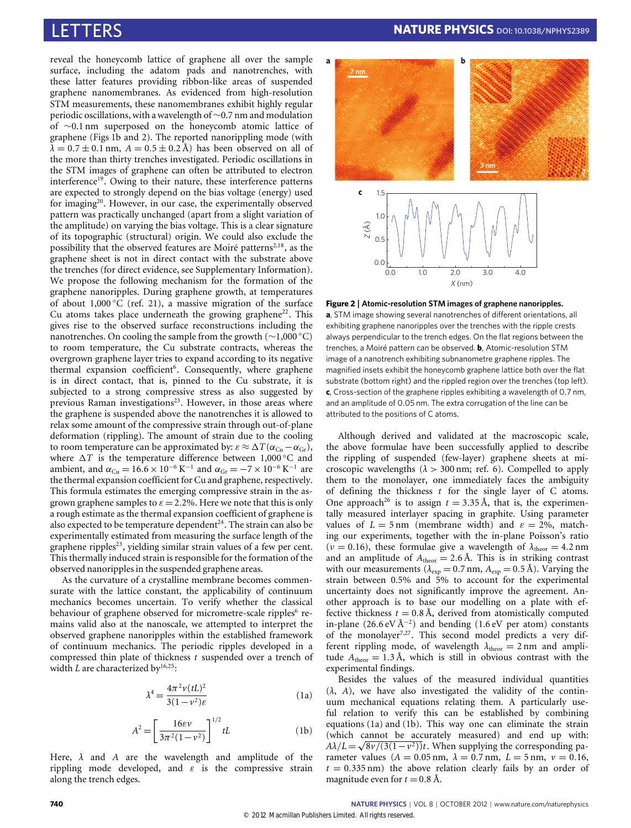reveal the honeycomb lattice of graphene all over the sample surface, including the adatom pads and nanotrenches, with these latter features providing ribbon-like areas of suspended graphene nanomembranes. As evidenced from high-resolution STM measurements, these nanomembranes exhibit highly regular periodic oscillations, with a wavelength of ∼0.7 nm and modulation of ∼0.1 nm superposed on the honeycomb atomic lattice of graphene [\(Figs 1b](#page-0-0) and [2\)](#page-1-0). The reported nanorippling mode (with  $\lambda = 0.7 \pm 0.1$  nm,  $A = 0.5 \pm 0.2$  Å) has been observed on all of the more than thirty trenches investigated. Periodic oscillations in the STM images of graphene can often be attributed to electron interference<sup>[19](#page-3-17)</sup>. Owing to their nature, these interference patterns are expected to strongly depend on the bias voltage (energy) used for imaging[20](#page-3-18). However, in our case, the experimentally observed pattern was practically unchanged (apart from a slight variation of the amplitude) on varying the bias voltage. This is a clear signature of its topographic (structural) origin. We could also exclude the possibility that the observed features are Moiré patterns<sup> $2,18$  $2,18$ </sup>, as the graphene sheet is not in direct contact with the substrate above the trenches (for direct evidence, see Supplementary Information). We propose the following mechanism for the formation of the graphene nanoripples. During graphene growth, at temperatures of about 1,000 °C (ref. [21\)](#page-3-20), a massive migration of the surface Cu atoms takes place underneath the growing graphene<sup>[22](#page-3-21)</sup>. This gives rise to the observed surface reconstructions including the nanotrenches. On cooling the sample from the growth (∼1,000 ◦C) to room temperature, the Cu substrate contracts, whereas the overgrown graphene layer tries to expand according to its negative thermal expansion coefficient<sup>[6](#page-3-2)</sup>. Consequently, where graphene is in direct contact, that is, pinned to the Cu substrate, it is subjected to a strong compressive stress as also suggested by previous Raman investigations<sup>[23](#page-3-22)</sup>. However, in those areas where the graphene is suspended above the nanotrenches it is allowed to relax some amount of the compressive strain through out-of-plane deformation (rippling). The amount of strain due to the cooling to room temperature can be approximated by:  $\varepsilon \approx \Delta T (\alpha_{\text{Cu}} - \alpha_{\text{Gr}})$ , where  $\Delta T$  is the temperature difference between 1,000 °C and ambient, and  $\alpha_{\text{Cu}} = 16.6 \times 10^{-6} \,\text{K}^{-1}$  and  $\alpha_{\text{Gr}} = -7 \times 10^{-6} \,\text{K}^{-1}$  are the thermal expansion coefficient for Cu and graphene, respectively. This formula estimates the emerging compressive strain in the asgrown graphene samples to  $\varepsilon = 2.2$ %. Here we note that this is only a rough estimate as the thermal expansion coefficient of graphene is also expected to be temperature dependent<sup>[24](#page-3-23)</sup>. The strain can also be experimentally estimated from measuring the surface length of the graphene ripples<sup>[23](#page-3-22)</sup>, yielding similar strain values of a few per cent. This thermally induced strain is responsible for the formation of the observed nanoripples in the suspended graphene areas.

As the curvature of a crystalline membrane becomes commensurate with the lattice constant, the applicability of continuum mechanics becomes uncertain. To verify whether the classical behaviour of graphene observed for micrometre-scale ripples<sup>[6](#page-3-2)</sup> remains valid also at the nanoscale, we attempted to interpret the observed graphene nanoripples within the established framework of continuum mechanics. The periodic ripples developed in a compressed thin plate of thickness *t* suspended over a trench of width *L* are characterized by<sup>[16,](#page-3-14)[25](#page-3-24)</sup>:

$$
\lambda^4 = \frac{4\pi^2 \nu (tL)^2}{3(1-\nu^2)\varepsilon} \tag{1a}
$$

$$
A^{2} = \left[\frac{16\varepsilon\nu}{3\pi^{2}(1-\nu^{2})}\right]^{1/2} tL
$$
 (1b)

<span id="page-1-2"></span><span id="page-1-1"></span>Here, λ and *A* are the wavelength and amplitude of the rippling mode developed, and  $\varepsilon$  is the compressive strain along the trench edges.



<span id="page-1-0"></span>**Figure 2** | **Atomic-resolution STM images of graphene nanoripples.**

**a**, STM image showing several nanotrenches of different orientations, all exhibiting graphene nanoripples over the trenches with the ripple crests always perpendicular to the trench edges. On the flat regions between the trenches, a Moiré pattern can be observed. **b**, Atomic-resolution STM image of a nanotrench exhibiting subnanometre graphene ripples. The magnified insets exhibit the honeycomb graphene lattice both over the flat substrate (bottom right) and the rippled region over the trenches (top left). **c**, Cross-section of the graphene ripples exhibiting a wavelength of 0.7 nm, and an amplitude of 0.05 nm. The extra corrugation of the line can be attributed to the positions of C atoms.

Although derived and validated at the macroscopic scale, the above formulae have been successfully applied to describe the rippling of suspended (few-layer) graphene sheets at microscopic wavelengths ( $\lambda > 300$  nm; ref. [6\)](#page-3-2). Compelled to apply them to the monolayer, one immediately faces the ambiguity of defining the thickness *t* for the single layer of C atoms. One approach<sup>[26](#page-3-25)</sup> is to assign  $t = 3.35 \text{ Å}$ , that is, the experimentally measured interlayer spacing in graphite. Using parameter values of  $L = 5$  nm (membrane width) and  $\varepsilon = 2\%$ , matching our experiments, together with the in-plane Poisson's ratio ( $v = 0.16$ ), these formulae give a wavelength of  $\lambda_{\text{theor}} = 4.2 \text{ nm}$ and an amplitude of  $A_{\text{theor}} = 2.6 \text{ Å}$ . This is in striking contrast with our measurements ( $\lambda_{\exp} = 0.7$  nm,  $A_{\exp} = 0.5$  Å). Varying the strain between 0.5% and 5% to account for the experimental uncertainty does not significantly improve the agreement. Another approach is to base our modelling on a plate with effective thickness  $t = 0.8$  Å, derived from atomistically computed in-plane (26.6 eV Å<sup>−</sup><sup>2</sup> ) and bending (1.6 eV per atom) constants of the monolayer<sup>[7,](#page-3-3)[27](#page-3-26)</sup>. This second model predicts a very different rippling mode, of wavelength  $\lambda_{\text{theor}} = 2 \text{ nm}$  and amplitude  $A_{\text{theor}} = 1.3 \text{ Å}$ , which is still in obvious contrast with the experimental findings.

Besides the values of the measured individual quantities  $(\lambda, A)$ , we have also investigated the validity of the continuum mechanical equations relating them. A particularly useful relation to verify this can be established by combining equations [\(1a\)](#page-1-1) and [\(1b\)](#page-1-2). This way one can eliminate the strain (which cannot be accurately measured) and end up with:  $A\lambda/L = \sqrt{8\nu/(3(1-\nu^2))t}$ . When supplying the corresponding parameter values ( $A = 0.05$  nm,  $\lambda = 0.7$  nm,  $L = 5$  nm,  $\nu = 0.16$ ,  $t = 0.335$  nm) the above relation clearly fails by an order of magnitude even for  $t = 0.8$  Å.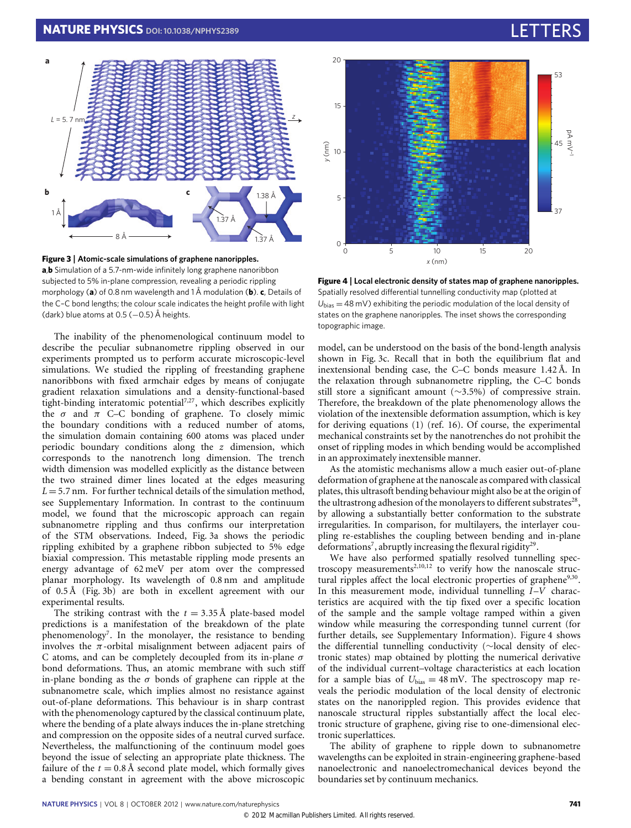

<span id="page-2-0"></span>**Figure 3** | **Atomic-scale simulations of graphene nanoripples. a**,**b** Simulation of a 5.7-nm-wide infinitely long graphene nanoribbon subjected to 5% in-plane compression, revealing a periodic rippling morphology (**a**) of 0.8 nm wavelength and 1 Å modulation (**b**). **c**, Details of the C–C bond lengths; the colour scale indicates the height profile with light (dark) blue atoms at 0.5 (-0.5) Å heights.

The inability of the phenomenological continuum model to describe the peculiar subnanometre rippling observed in our experiments prompted us to perform accurate microscopic-level simulations. We studied the rippling of freestanding graphene nanoribbons with fixed armchair edges by means of conjugate gradient relaxation simulations and a density-functional-based tight-binding interatomic potential<sup>[7](#page-3-3)[,27](#page-3-26)</sup>, which describes explicitly the  $\sigma$  and  $\pi$  C–C bonding of graphene. To closely mimic the boundary conditions with a reduced number of atoms, the simulation domain containing 600 atoms was placed under periodic boundary conditions along the *z* dimension, which corresponds to the nanotrench long dimension. The trench width dimension was modelled explicitly as the distance between the two strained dimer lines located at the edges measuring  $L = 5.7$  nm. For further technical details of the simulation method, see Supplementary Information. In contrast to the continuum model, we found that the microscopic approach can regain subnanometre rippling and thus confirms our interpretation of the STM observations. Indeed, [Fig. 3a](#page-2-0) shows the periodic rippling exhibited by a graphene ribbon subjected to 5% edge biaxial compression. This metastable rippling mode presents an energy advantage of 62 meV per atom over the compressed planar morphology. Its wavelength of 0.8 nm and amplitude of 0.5 Å [\(Fig. 3b](#page-2-0)) are both in excellent agreement with our experimental results.

The striking contrast with the  $t = 3.35 \text{ Å}$  plate-based model predictions is a manifestation of the breakdown of the plate phenomenology<sup>[7](#page-3-3)</sup>. In the monolayer, the resistance to bending involves the  $\pi$ -orbital misalignment between adjacent pairs of C atoms, and can be completely decoupled from its in-plane  $\sigma$ bond deformations. Thus, an atomic membrane with such stiff in-plane bonding as the  $\sigma$  bonds of graphene can ripple at the subnanometre scale, which implies almost no resistance against out-of-plane deformations. This behaviour is in sharp contrast with the phenomenology captured by the classical continuum plate, where the bending of a plate always induces the in-plane stretching and compression on the opposite sides of a neutral curved surface. Nevertheless, the malfunctioning of the continuum model goes beyond the issue of selecting an appropriate plate thickness. The failure of the  $t = 0.8$  Å second plate model, which formally gives a bending constant in agreement with the above microscopic



<span id="page-2-1"></span>**Figure 4** | **Local electronic density of states map of graphene nanoripples.** Spatially resolved differential tunnelling conductivity map (plotted at  $U_{bias} = 48$  mV) exhibiting the periodic modulation of the local density of states on the graphene nanoripples. The inset shows the corresponding topographic image.

model, can be understood on the basis of the bond-length analysis shown in [Fig. 3c](#page-2-0). Recall that in both the equilibrium flat and inextensional bending case, the C–C bonds measure 1.42 Å. In the relaxation through subnanometre rippling, the C–C bonds still store a significant amount (∼3.5%) of compressive strain. Therefore, the breakdown of the plate phenomenology allows the violation of the inextensible deformation assumption, which is key for deriving equations (1) (ref. [16\)](#page-3-14). Of course, the experimental mechanical constraints set by the nanotrenches do not prohibit the onset of rippling modes in which bending would be accomplished in an approximately inextensible manner.

As the atomistic mechanisms allow a much easier out-of-plane deformation of graphene at the nanoscale as compared with classical plates, this ultrasoft bending behaviour might also be at the origin of the ultrastrong adhesion of the monolayers to different substrates<sup>[28](#page-3-27)</sup>, by allowing a substantially better conformation to the substrate irregularities. In comparison, for multilayers, the interlayer coupling re-establishes the coupling between bending and in-plane deformations<sup>[7](#page-3-3)</sup>, abruptly increasing the flexural rigidity<sup>[29](#page-3-28)</sup>.

We have also performed spatially resolved tunnelling spec-troscopy measurements<sup>[2](#page-3-19)[,10,](#page-3-5)[12](#page-3-10)</sup> to verify how the nanoscale struc-tural ripples affect the local electronic properties of graphene<sup>[9](#page-3-6)[,30](#page-3-29)</sup>. In this measurement mode, individual tunnelling *I*–*V* characteristics are acquired with the tip fixed over a specific location of the sample and the sample voltage ramped within a given window while measuring the corresponding tunnel current (for further details, see Supplementary Information). [Figure 4](#page-2-1) shows the differential tunnelling conductivity (∼local density of electronic states) map obtained by plotting the numerical derivative of the individual current–voltage characteristics at each location for a sample bias of  $U_{bias} = 48$  mV. The spectroscopy map reveals the periodic modulation of the local density of electronic states on the nanorippled region. This provides evidence that nanoscale structural ripples substantially affect the local electronic structure of graphene, giving rise to one-dimensional electronic superlattices.

The ability of graphene to ripple down to subnanometre wavelengths can be exploited in strain-engineering graphene-based nanoelectronic and nanoelectromechanical devices beyond the boundaries set by continuum mechanics.